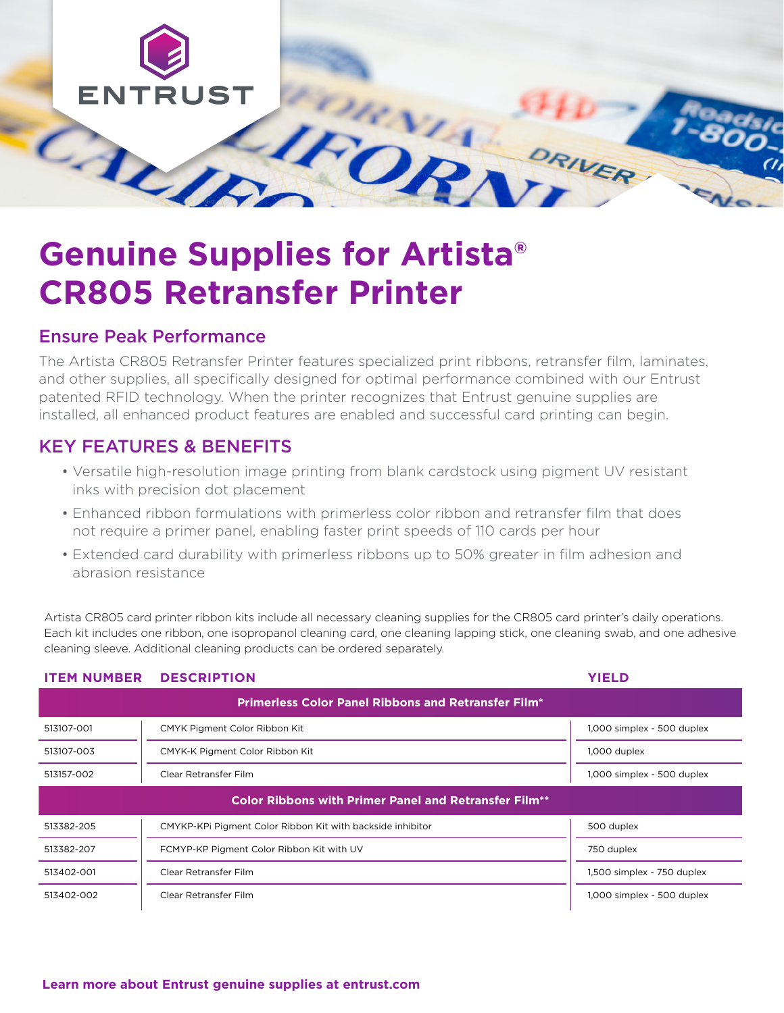

# **Genuine Supplies for Artista® CR805 Retransfer Printer**

## Ensure Peak Performance

The Artista CR805 Retransfer Printer features specialized print ribbons, retransfer film, laminates, and other supplies, all specifically designed for optimal performance combined with our Entrust patented RFID technology. When the printer recognizes that Entrust genuine supplies are installed, all enhanced product features are enabled and successful card printing can begin.

## KEY FEATURES & BENEFITS

- Versatile high-resolution image printing from blank cardstock using pigment UV resistant inks with precision dot placement
- Enhanced ribbon formulations with primerless color ribbon and retransfer film that does not require a primer panel, enabling faster print speeds of 110 cards per hour
- Extended card durability with primerless ribbons up to 50% greater in film adhesion and abrasion resistance

Artista CR805 card printer ribbon kits include all necessary cleaning supplies for the CR805 card printer's daily operations. Each kit includes one ribbon, one isopropanol cleaning card, one cleaning lapping stick, one cleaning swab, and one adhesive cleaning sleeve. Additional cleaning products can be ordered separately.

| <b>ITEM NUMBER</b>                                           | <b>DESCRIPTION</b>                                         | <b>YIELD</b>               |  |  |
|--------------------------------------------------------------|------------------------------------------------------------|----------------------------|--|--|
| <b>Primerless Color Panel Ribbons and Retransfer Film*</b>   |                                                            |                            |  |  |
| 513107-001                                                   | CMYK Pigment Color Ribbon Kit                              | 1,000 simplex - 500 duplex |  |  |
| 513107-003                                                   | CMYK-K Pigment Color Ribbon Kit                            | 1,000 duplex               |  |  |
| 513157-002                                                   | Clear Retransfer Film                                      | 1,000 simplex - 500 duplex |  |  |
| <b>Color Ribbons with Primer Panel and Retransfer Film**</b> |                                                            |                            |  |  |
| 513382-205                                                   | CMYKP-KPI Pigment Color Ribbon Kit with backside inhibitor | 500 duplex                 |  |  |
| 513382-207                                                   | FCMYP-KP Pigment Color Ribbon Kit with UV                  | 750 duplex                 |  |  |
| 513402-001                                                   | Clear Retransfer Film                                      | 1,500 simplex - 750 duplex |  |  |
| 513402-002                                                   | Clear Retransfer Film                                      | 1,000 simplex - 500 duplex |  |  |

### **[Learn more about Entrust genuine supplies at entrust.com](https://www.entrust.com/issuance-systems/instant/id-card-issuance/supplies)**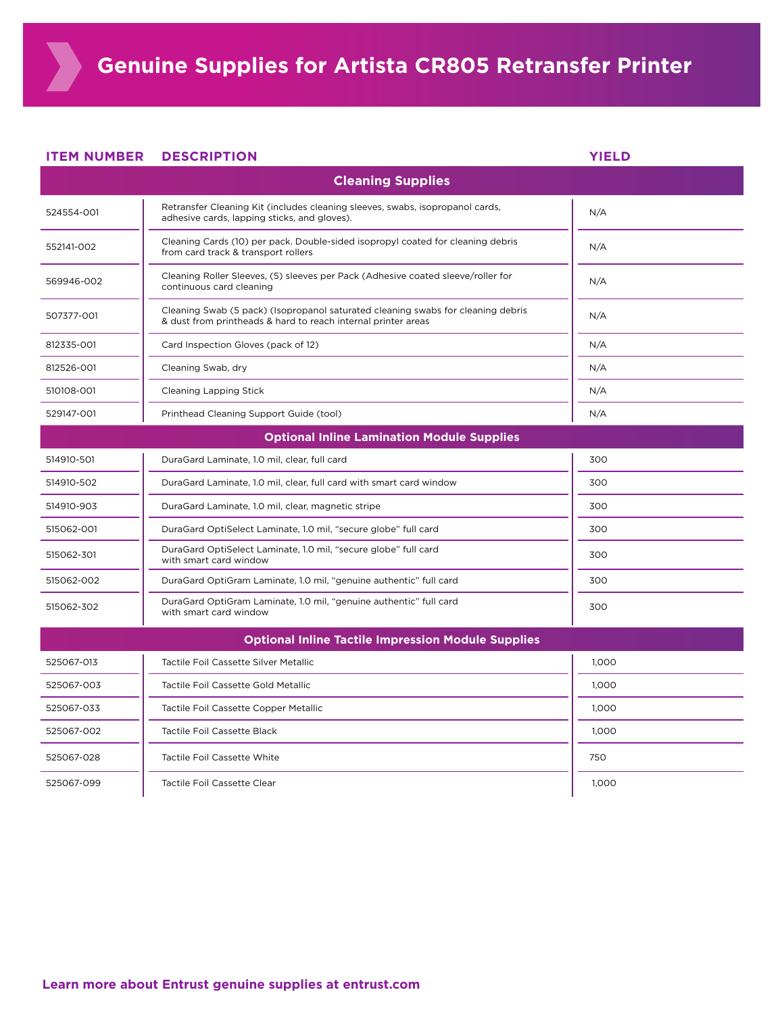**ITEM NUMBER DESCRIPTION** 

| <b>Cleaning Supplies</b>                                  |                                                                                                                                                   |       |  |  |
|-----------------------------------------------------------|---------------------------------------------------------------------------------------------------------------------------------------------------|-------|--|--|
| 524554-001                                                | Retransfer Cleaning Kit (includes cleaning sleeves, swabs, isopropanol cards,<br>adhesive cards, lapping sticks, and gloves).                     | N/A   |  |  |
| 552141-002                                                | Cleaning Cards (10) per pack. Double-sided isopropyl coated for cleaning debris<br>from card track & transport rollers                            | N/A   |  |  |
| 569946-002                                                | Cleaning Roller Sleeves, (5) sleeves per Pack (Adhesive coated sleeve/roller for<br>continuous card cleaning                                      | N/A   |  |  |
| 507377-001                                                | Cleaning Swab (5 pack) (Isopropanol saturated cleaning swabs for cleaning debris<br>& dust from printheads & hard to reach internal printer areas | N/A   |  |  |
| 812335-001                                                | Card Inspection Gloves (pack of 12)                                                                                                               | N/A   |  |  |
| 812526-001                                                | Cleaning Swab, dry                                                                                                                                | N/A   |  |  |
| 510108-001                                                | <b>Cleaning Lapping Stick</b>                                                                                                                     | N/A   |  |  |
| 529147-001                                                | Printhead Cleaning Support Guide (tool)                                                                                                           | N/A   |  |  |
| <b>Optional Inline Lamination Module Supplies</b>         |                                                                                                                                                   |       |  |  |
| 514910-501                                                | DuraGard Laminate, 1.0 mil, clear, full card                                                                                                      | 300   |  |  |
| 514910-502                                                | DuraGard Laminate, 1.0 mil, clear, full card with smart card window                                                                               | 300   |  |  |
| 514910-903                                                | DuraGard Laminate, 1.0 mil, clear, magnetic stripe                                                                                                | 300   |  |  |
| 515062-001                                                | DuraGard OptiSelect Laminate, 1.0 mil, "secure globe" full card                                                                                   | 300   |  |  |
| 515062-301                                                | DuraGard OptiSelect Laminate, 1.0 mil, "secure globe" full card<br>with smart card window                                                         | 300   |  |  |
| 515062-002                                                | DuraGard OptiGram Laminate, 1.0 mil, "genuine authentic" full card                                                                                | 300   |  |  |
| 515062-302                                                | DuraGard OptiGram Laminate, 1.0 mil, "genuine authentic" full card<br>with smart card window                                                      | 300   |  |  |
| <b>Optional Inline Tactile Impression Module Supplies</b> |                                                                                                                                                   |       |  |  |
| 525067-013                                                | Tactile Foil Cassette Silver Metallic                                                                                                             | 1,000 |  |  |
| 525067-003                                                | Tactile Foil Cassette Gold Metallic                                                                                                               | 1,000 |  |  |
| 525067-033                                                | Tactile Foil Cassette Copper Metallic                                                                                                             | 1.000 |  |  |
| 525067-002                                                | <b>Tactile Foil Cassette Black</b>                                                                                                                | 1,000 |  |  |
| 525067-028                                                | <b>Tactile Foil Cassette White</b>                                                                                                                | 750   |  |  |
| 525067-099                                                | Tactile Foil Cassette Clear                                                                                                                       | 1,000 |  |  |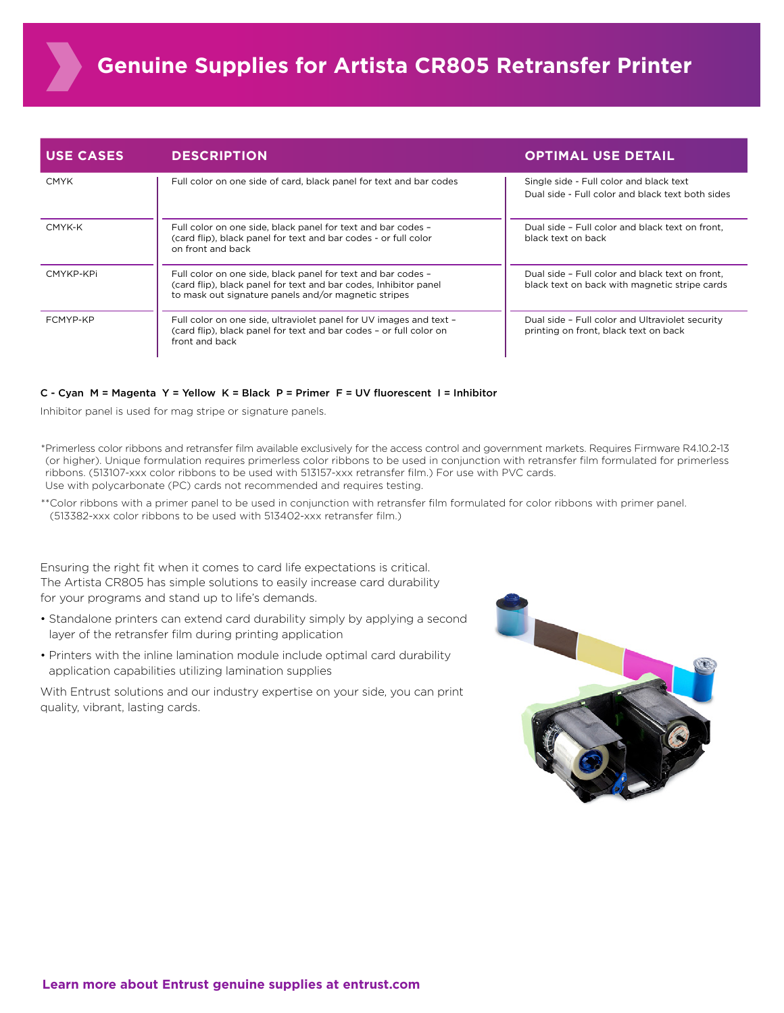| <b>USE CASES</b> | <b>DESCRIPTION</b>                                                                                                                                                                       | <b>OPTIMAL USE DETAIL</b>                                                                        |
|------------------|------------------------------------------------------------------------------------------------------------------------------------------------------------------------------------------|--------------------------------------------------------------------------------------------------|
| <b>CMYK</b>      | Full color on one side of card, black panel for text and bar codes                                                                                                                       | Single side - Full color and black text<br>Dual side - Full color and black text both sides      |
| CMYK-K           | Full color on one side, black panel for text and bar codes -<br>(card flip), black panel for text and bar codes - or full color<br>on front and back                                     | Dual side - Full color and black text on front.<br>black text on back                            |
| CMYKP-KPi        | Full color on one side, black panel for text and bar codes -<br>(card flip), black panel for text and bar codes, Inhibitor panel<br>to mask out signature panels and/or magnetic stripes | Dual side - Full color and black text on front.<br>black text on back with magnetic stripe cards |
| FCMYP-KP         | Full color on one side, ultraviolet panel for UV images and text -<br>(card flip), black panel for text and bar codes - or full color on<br>front and back                               | Dual side - Full color and Ultraviolet security<br>printing on front, black text on back         |

#### C - Cyan M = Magenta Y = Yellow K = Black P = Primer F = UV fluorescent I = Inhibitor

Inhibitor panel is used for mag stripe or signature panels.

\*Primerless color ribbons and retransfer film available exclusively for the access control and government markets. Requires Firmware R4.10.2-13 (or higher). Unique formulation requires primerless color ribbons to be used in conjunction with retransfer film formulated for primerless ribbons. (513107-xxx color ribbons to be used with 513157-xxx retransfer film.) For use with PVC cards. Use with polycarbonate (PC) cards not recommended and requires testing.

\*\*Color ribbons with a primer panel to be used in conjunction with retransfer film formulated for color ribbons with primer panel. (513382-xxx color ribbons to be used with 513402-xxx retransfer film.)

Ensuring the right fit when it comes to card life expectations is critical. The Artista CR805 has simple solutions to easily increase card durability for your programs and stand up to life's demands.

- Standalone printers can extend card durability simply by applying a second layer of the retransfer film during printing application
- Printers with the inline lamination module include optimal card durability application capabilities utilizing lamination supplies

With Entrust solutions and our industry expertise on your side, you can print quality, vibrant, lasting cards.